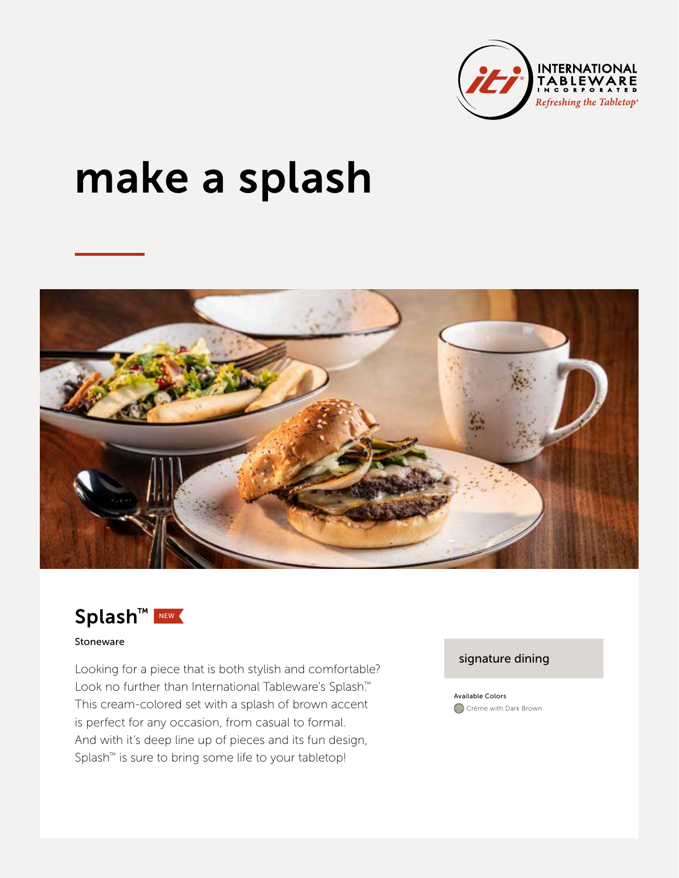

# make a splash



Splash™ NEW

#### Stoneware

Looking for a piece that is both stylish and comfortable? Look no further than International Tableware's Splash.™ This cream-colored set with a splash of brown accent is perfect for any occasion, from casual to formal. And with it's deep line up of pieces and its fun design, Splash™ is sure to bring some life to your tabletop!

## signature dining